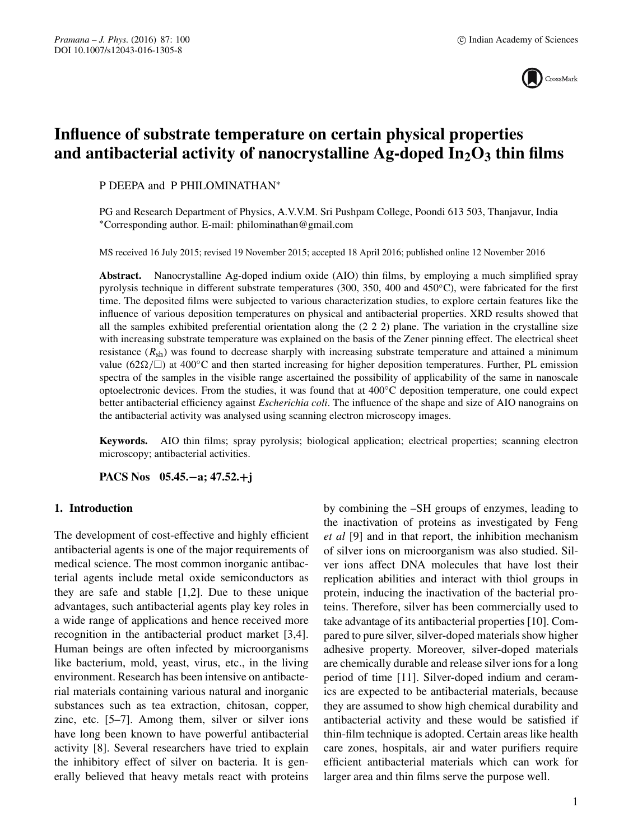

# **Influence of substrate temperature on certain physical properties** and antibacterial activity of nanocrystalline Ag-doped In<sub>2</sub>O<sub>3</sub> thin films

P DEEPA and P PHILOMINATHAN<sup>\*</sup>

PG and Research Department of Physics, A.V.V.M. Sri Pushpam College, Poondi 613 503, Thanjavur, India ∗Corresponding author. E-mail: philominathan@gmail.com

MS received 16 July 2015; revised 19 November 2015; accepted 18 April 2016; published online 12 November 2016

**Abstract.** Nanocrystalline Ag-doped indium oxide (AIO) thin films, by employing a much simplified spray pyrolysis technique in different substrate temperatures (300, 350, 400 and 450◦C), were fabricated for the first time. The deposited films were subjected to various characterization studies, to explore certain features like the influence of various deposition temperatures on physical and antibacterial properties. XRD results showed that all the samples exhibited preferential orientation along the (2 2 2) plane. The variation in the crystalline size with increasing substrate temperature was explained on the basis of the Zener pinning effect. The electrical sheet resistance  $(R_{sh})$  was found to decrease sharply with increasing substrate temperature and attained a minimum value ( $62\Omega/\Box$ ) at 400°C and then started increasing for higher deposition temperatures. Further, PL emission spectra of the samples in the visible range ascertained the possibility of applicability of the same in nanoscale optoelectronic devices. From the studies, it was found that at 400◦C deposition temperature, one could expect better antibacterial efficiency against *Escherichia coli*. The influence of the shape and size of AIO nanograins on the antibacterial activity was analysed using scanning electron microscopy images.

**Keywords.** AIO thin films; spray pyrolysis; biological application; electrical properties; scanning electron microscopy; antibacterial activities.

**PACS Nos 05.45.−a; 47.52.+j**

## **1. Introduction**

The development of cost-effective and highly efficient antibacterial agents is one of the major requirements of medical science. The most common inorganic antibacterial agents include metal oxide semiconductors as they are safe and stable [1,2]. Due to these unique advantages, such antibacterial agents play key roles in a wide range of applications and hence received more recognition in the antibacterial product market [3,4]. Human beings are often infected by microorganisms like bacterium, mold, yeast, virus, etc., in the living environment. Research has been intensive on antibacterial materials containing various natural and inorganic substances such as tea extraction, chitosan, copper, zinc, etc. [5–7]. Among them, silver or silver ions have long been known to have powerful antibacterial activity [8]. Several researchers have tried to explain the inhibitory effect of silver on bacteria. It is generally believed that heavy metals react with proteins by combining the –SH groups of enzymes, leading to the inactivation of proteins as investigated by Feng *et al* [9] and in that report, the inhibition mechanism of silver ions on microorganism was also studied. Silver ions affect DNA molecules that have lost their replication abilities and interact with thiol groups in protein, inducing the inactivation of the bacterial proteins. Therefore, silver has been commercially used to take advantage of its antibacterial properties [10]. Compared to pure silver, silver-doped materials show higher adhesive property. Moreover, silver-doped materials are chemically durable and release silver ions for a long period of time [11]. Silver-doped indium and ceramics are expected to be antibacterial materials, because they are assumed to show high chemical durability and antibacterial activity and these would be satisfied if thin-film technique is adopted. Certain areas like health care zones, hospitals, air and water purifiers require efficient antibacterial materials which can work for larger area and thin films serve the purpose well.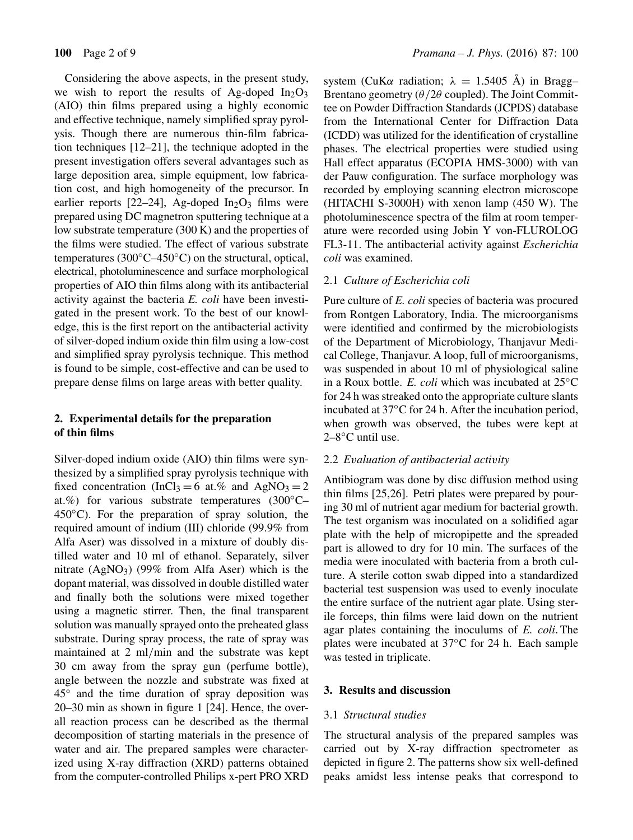Considering the above aspects, in the present study, we wish to report the results of Ag-doped  $In<sub>2</sub>O<sub>3</sub>$ (AIO) thin films prepared using a highly economic and effective technique, namely simplified spray pyrolysis. Though there are numerous thin-film fabrication techniques [12–21], the technique adopted in the present investigation offers several advantages such as large deposition area, simple equipment, low fabrication cost, and high homogeneity of the precursor. In earlier reports  $[22-24]$ , Ag-doped In<sub>2</sub>O<sub>3</sub> films were prepared using DC magnetron sputtering technique at a low substrate temperature (300 K) and the properties of the films were studied. The effect of various substrate temperatures (300 $\degree$ C–450 $\degree$ C) on the structural, optical, electrical, photoluminescence and surface morphological properties of AIO thin films along with its antibacterial activity against the bacteria *E. coli* have been investigated in the present work. To the best of our knowledge, this is the first report on the antibacterial activity of silver-doped indium oxide thin film using a low-cost and simplified spray pyrolysis technique. This method is found to be simple, cost-effective and can be used to prepare dense films on large areas with better quality.

# **2. Experimental details for the preparation of thin films**

Silver-doped indium oxide (AIO) thin films were synthesized by a simplified spray pyrolysis technique with fixed concentration (InCl<sub>3</sub> = 6 at.% and AgNO<sub>3</sub> = 2 at.%) for various substrate temperatures  $(300^{\circ}C 450^{\circ}$ C). For the preparation of spray solution, the required amount of indium (III) chloride (99.9% from Alfa Aser) was dissolved in a mixture of doubly distilled water and 10 ml of ethanol. Separately, silver nitrate  $(AgNO_3)$  (99% from Alfa Aser) which is the dopant material, was dissolved in double distilled water and finally both the solutions were mixed together using a magnetic stirrer. Then, the final transparent solution was manually sprayed onto the preheated glass substrate. During spray process, the rate of spray was maintained at 2 ml/min and the substrate was kept 30 cm away from the spray gun (perfume bottle), angle between the nozzle and substrate was fixed at 45◦ and the time duration of spray deposition was 20–30 min as shown in figure 1 [24]. Hence, the overall reaction process can be described as the thermal decomposition of starting materials in the presence of water and air. The prepared samples were characterized using X-ray diffraction (XRD) patterns obtained from the computer-controlled Philips x-pert PRO XRD system (CuK $\alpha$  radiation;  $\lambda = 1.5405$  Å) in Bragg-Brentano geometry ( $\theta/2\theta$  coupled). The Joint Committee on Powder Diffraction Standards (JCPDS) database from the International Center for Diffraction Data (ICDD) was utilized for the identification of crystalline phases. The electrical properties were studied using Hall effect apparatus (ECOPIA HMS-3000) with van der Pauw configuration. The surface morphology was recorded by employing scanning electron microscope (HITACHI S-3000H) with xenon lamp (450 W). The photoluminescence spectra of the film at room temperature were recorded using Jobin Y von-FLUROLOG FL3-11. The antibacterial activity against *Escherichia coli* was examined.

# 2.1 *Culture of Escherichia coli*

Pure culture of *E. coli* species of bacteria was procured from Rontgen Laboratory, India. The microorganisms were identified and confirmed by the microbiologists of the Department of Microbiology, Thanjavur Medical College, Thanjavur. A loop, full of microorganisms, was suspended in about 10 ml of physiological saline in a Roux bottle. *E. coli* which was incubated at 25◦C for 24 h was streaked onto the appropriate culture slants incubated at 37◦C for 24 h. After the incubation period, when growth was observed, the tubes were kept at 2–8<sup>°</sup>C until use.

## 2.2 *E*v*aluation of antibacterial acti*v*ity*

Antibiogram was done by disc diffusion method using thin films [25,26]. Petri plates were prepared by pouring 30 ml of nutrient agar medium for bacterial growth. The test organism was inoculated on a solidified agar plate with the help of micropipette and the spreaded part is allowed to dry for 10 min. The surfaces of the media were inoculated with bacteria from a broth culture. A sterile cotton swab dipped into a standardized bacterial test suspension was used to evenly inoculate the entire surface of the nutrient agar plate. Using sterile forceps, thin films were laid down on the nutrient agar plates containing the inoculums of *E. coli*. The plates were incubated at 37◦C for 24 h. Each sample was tested in triplicate.

## **3. Results and discussion**

## 3.1 *Structural studies*

The structural analysis of the prepared samples was carried out by X-ray diffraction spectrometer as depicted in figure 2. The patterns show six well-defined peaks amidst less intense peaks that correspond to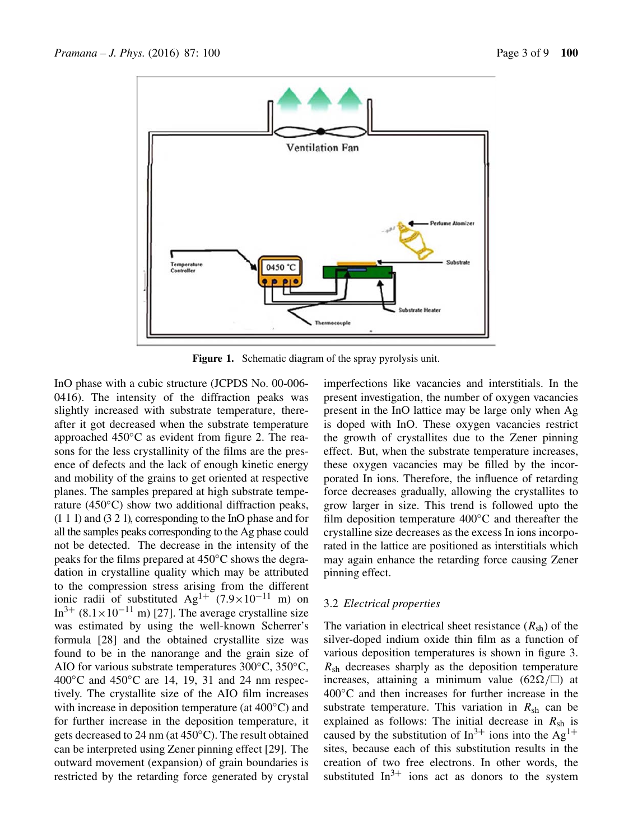

**Figure 1.** Schematic diagram of the spray pyrolysis unit.

InO phase with a cubic structure (JCPDS No. 00-006- 0416). The intensity of the diffraction peaks was slightly increased with substrate temperature, thereafter it got decreased when the substrate temperature approached 450◦C as evident from figure 2. The reasons for the less crystallinity of the films are the presence of defects and the lack of enough kinetic energy and mobility of the grains to get oriented at respective planes. The samples prepared at high substrate temperature  $(450^{\circ}$ C) show two additional diffraction peaks, (1 1 1) and (3 2 1), corresponding to the InO phase and for all the samples peaks corresponding to the Ag phase could not be detected. The decrease in the intensity of the peaks for the films prepared at 450◦C shows the degradation in crystalline quality which may be attributed to the compression stress arising from the different ionic radii of substituted Ag<sup>1+</sup> (7.9×10<sup>-11</sup> m) on In<sup>3+</sup> (8.1×10<sup>-11</sup> m) [27]. The average crystalline size was estimated by using the well-known Scherrer's formula [28] and the obtained crystallite size was found to be in the nanorange and the grain size of AIO for various substrate temperatures 300◦C, 350◦C, 400◦C and 450◦C are 14, 19, 31 and 24 nm respectively. The crystallite size of the AIO film increases with increase in deposition temperature (at  $400^{\circ}$ C) and for further increase in the deposition temperature, it gets decreased to 24 nm (at 450◦C). The result obtained can be interpreted using Zener pinning effect [29]. The outward movement (expansion) of grain boundaries is restricted by the retarding force generated by crystal imperfections like vacancies and interstitials. In the present investigation, the number of oxygen vacancies present in the InO lattice may be large only when Ag is doped with InO. These oxygen vacancies restrict the growth of crystallites due to the Zener pinning effect. But, when the substrate temperature increases, these oxygen vacancies may be filled by the incorporated In ions. Therefore, the influence of retarding force decreases gradually, allowing the crystallites to grow larger in size. This trend is followed upto the film deposition temperature  $400\degree$ C and thereafter the crystalline size decreases as the excess In ions incorporated in the lattice are positioned as interstitials which may again enhance the retarding force causing Zener pinning effect.

## 3.2 *Electrical properties*

The variation in electrical sheet resistance  $(R_{\rm sh})$  of the silver-doped indium oxide thin film as a function of various deposition temperatures is shown in figure 3.  $R_{\rm sh}$  decreases sharply as the deposition temperature increases, attaining a minimum value  $(62\Omega/\Box)$  at 400◦C and then increases for further increase in the substrate temperature. This variation in  $R_{\rm sh}$  can be explained as follows: The initial decrease in  $R_{\rm sh}$  is caused by the substitution of  $\text{In}^{3+}$  ions into the Ag<sup>1+</sup> sites, because each of this substitution results in the creation of two free electrons. In other words, the substituted  $In^{3+}$  ions act as donors to the system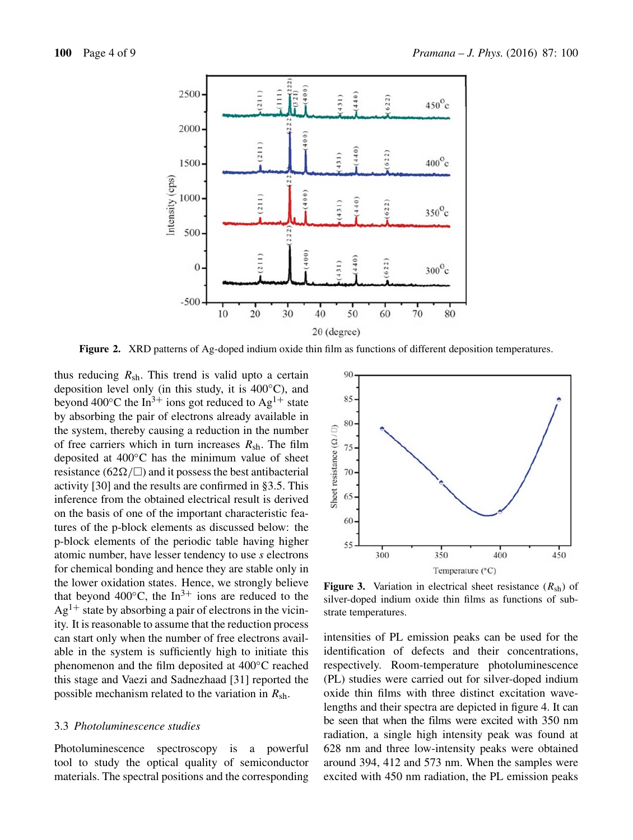

**Figure 2.** XRD patterns of Ag-doped indium oxide thin film as functions of different deposition temperatures.

thus reducing  $R_{\rm sh}$ . This trend is valid upto a certain deposition level only (in this study, it is 400◦C), and beyond 400°C the In<sup>3+</sup> ions got reduced to Ag<sup>1+</sup> state by absorbing the pair of electrons already available in the system, thereby causing a reduction in the number of free carriers which in turn increases  $R_{\rm sh}$ . The film deposited at 400◦C has the minimum value of sheet resistance (62 $\Omega/\Box$ ) and it possess the best antibacterial activity [30] and the results are confirmed in §3.5. This inference from the obtained electrical result is derived on the basis of one of the important characteristic features of the p-block elements as discussed below: the p-block elements of the periodic table having higher atomic number, have lesser tendency to use *s* electrons for chemical bonding and hence they are stable only in the lower oxidation states. Hence, we strongly believe that beyond 400 $^{\circ}$ C, the In<sup>3+</sup> ions are reduced to the  $Ag<sup>1+</sup>$  state by absorbing a pair of electrons in the vicinity. It is reasonable to assume that the reduction process can start only when the number of free electrons available in the system is sufficiently high to initiate this phenomenon and the film deposited at 400◦C reached this stage and Vaezi and Sadnezhaad [31] reported the possible mechanism related to the variation in  $R_{\rm sh}$ .

## 3.3 *Photoluminescence studies*

Photoluminescence spectroscopy is a powerful tool to study the optical quality of semiconductor materials. The spectral positions and the corresponding



**Figure 3.** Variation in electrical sheet resistance  $(R_{\rm sh})$  of silver-doped indium oxide thin films as functions of substrate temperatures.

intensities of PL emission peaks can be used for the identification of defects and their concentrations, respectively. Room-temperature photoluminescence (PL) studies were carried out for silver-doped indium oxide thin films with three distinct excitation wavelengths and their spectra are depicted in figure 4. It can be seen that when the films were excited with 350 nm radiation, a single high intensity peak was found at 628 nm and three low-intensity peaks were obtained around 394, 412 and 573 nm. When the samples were excited with 450 nm radiation, the PL emission peaks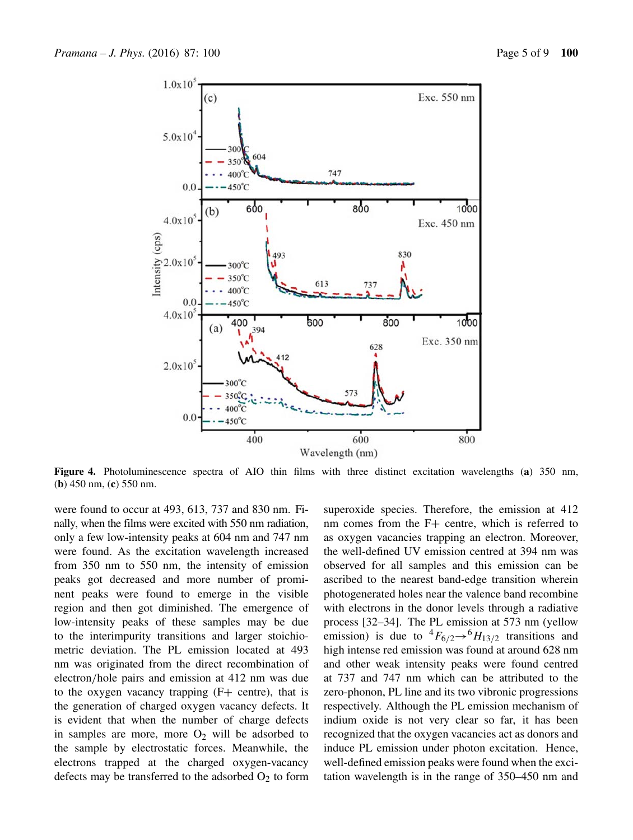

**Figure 4.** Photoluminescence spectra of AIO thin films with three distinct excitation wavelengths (**a**) 350 nm, (**b**) 450 nm, (**c**) 550 nm.

were found to occur at 493, 613, 737 and 830 nm. Finally, when the films were excited with 550 nm radiation, only a few low-intensity peaks at 604 nm and 747 nm were found. As the excitation wavelength increased from 350 nm to 550 nm, the intensity of emission peaks got decreased and more number of prominent peaks were found to emerge in the visible region and then got diminished. The emergence of low-intensity peaks of these samples may be due to the interimpurity transitions and larger stoichiometric deviation. The PL emission located at 493 nm was originated from the direct recombination of electron/hole pairs and emission at 412 nm was due to the oxygen vacancy trapping  $(F+$  centre), that is the generation of charged oxygen vacancy defects. It is evident that when the number of charge defects in samples are more, more  $O_2$  will be adsorbed to the sample by electrostatic forces. Meanwhile, the electrons trapped at the charged oxygen-vacancy defects may be transferred to the adsorbed  $O<sub>2</sub>$  to form superoxide species. Therefore, the emission at 412 nm comes from the F+ centre, which is referred to as oxygen vacancies trapping an electron. Moreover, the well-defined UV emission centred at 394 nm was observed for all samples and this emission can be ascribed to the nearest band-edge transition wherein photogenerated holes near the valence band recombine with electrons in the donor levels through a radiative process [32–34]. The PL emission at 573 nm (yellow emission) is due to  ${}^{4}F_{6/2} \rightarrow {}^{6}H_{13/2}$  transitions and high intense red emission was found at around 628 nm and other weak intensity peaks were found centred at 737 and 747 nm which can be attributed to the zero-phonon, PL line and its two vibronic progressions respectively. Although the PL emission mechanism of indium oxide is not very clear so far, it has been recognized that the oxygen vacancies act as donors and induce PL emission under photon excitation. Hence, well-defined emission peaks were found when the excitation wavelength is in the range of 350–450 nm and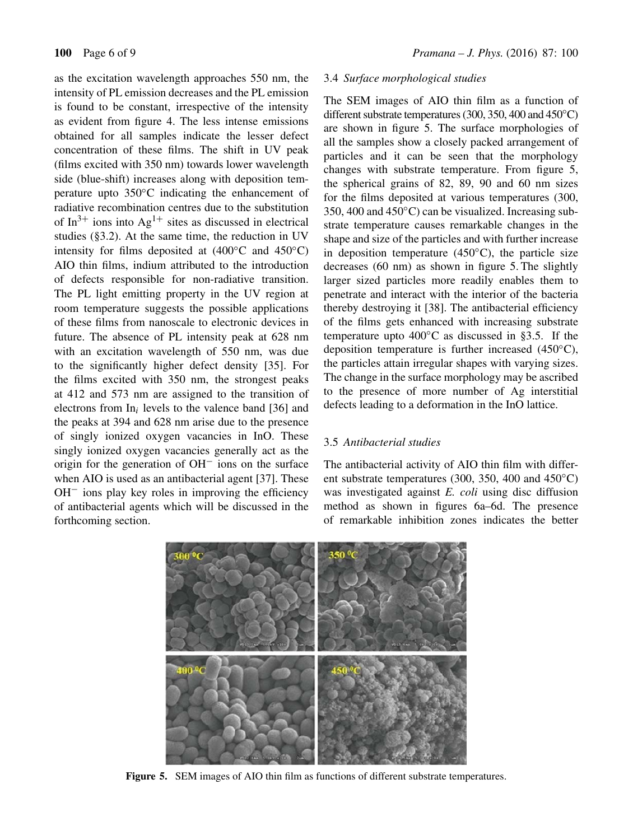as the excitation wavelength approaches 550 nm, the intensity of PL emission decreases and the PL emission is found to be constant, irrespective of the intensity as evident from figure 4. The less intense emissions obtained for all samples indicate the lesser defect concentration of these films. The shift in UV peak (films excited with 350 nm) towards lower wavelength side (blue-shift) increases along with deposition temperature upto 350◦C indicating the enhancement of radiative recombination centres due to the substitution of In<sup>3+</sup> ions into  $Ag<sup>1+</sup>$  sites as discussed in electrical studies (§3.2). At the same time, the reduction in UV intensity for films deposited at  $(400 °C$  and  $450 °C)$ AIO thin films, indium attributed to the introduction of defects responsible for non-radiative transition. The PL light emitting property in the UV region at room temperature suggests the possible applications of these films from nanoscale to electronic devices in future. The absence of PL intensity peak at 628 nm with an excitation wavelength of 550 nm, was due to the significantly higher defect density [35]. For the films excited with 350 nm, the strongest peaks at 412 and 573 nm are assigned to the transition of electrons from  $In<sub>i</sub>$  levels to the valence band [36] and the peaks at 394 and 628 nm arise due to the presence of singly ionized oxygen vacancies in InO. These singly ionized oxygen vacancies generally act as the origin for the generation of OH− ions on the surface when AIO is used as an antibacterial agent [37]. These OH− ions play key roles in improving the efficiency of antibacterial agents which will be discussed in the forthcoming section.

## 3.4 *Surface morphological studies*

The SEM images of AIO thin film as a function of different substrate temperatures (300, 350, 400 and 450◦C) are shown in figure 5. The surface morphologies of all the samples show a closely packed arrangement of particles and it can be seen that the morphology changes with substrate temperature. From figure 5, the spherical grains of 82, 89, 90 and 60 nm sizes for the films deposited at various temperatures (300, 350, 400 and 450◦C) can be visualized. Increasing substrate temperature causes remarkable changes in the shape and size of the particles and with further increase in deposition temperature  $(450^{\circ}C)$ , the particle size decreases (60 nm) as shown in figure 5. The slightly larger sized particles more readily enables them to penetrate and interact with the interior of the bacteria thereby destroying it [38]. The antibacterial efficiency of the films gets enhanced with increasing substrate temperature upto 400◦C as discussed in §3.5. If the deposition temperature is further increased (450◦C), the particles attain irregular shapes with varying sizes. The change in the surface morphology may be ascribed to the presence of more number of Ag interstitial defects leading to a deformation in the InO lattice.

## 3.5 *Antibacterial studies*

The antibacterial activity of AIO thin film with different substrate temperatures (300, 350, 400 and 450◦C) was investigated against *E. coli* using disc diffusion method as shown in figures 6a–6d. The presence of remarkable inhibition zones indicates the better



**Figure 5.** SEM images of AIO thin film as functions of different substrate temperatures.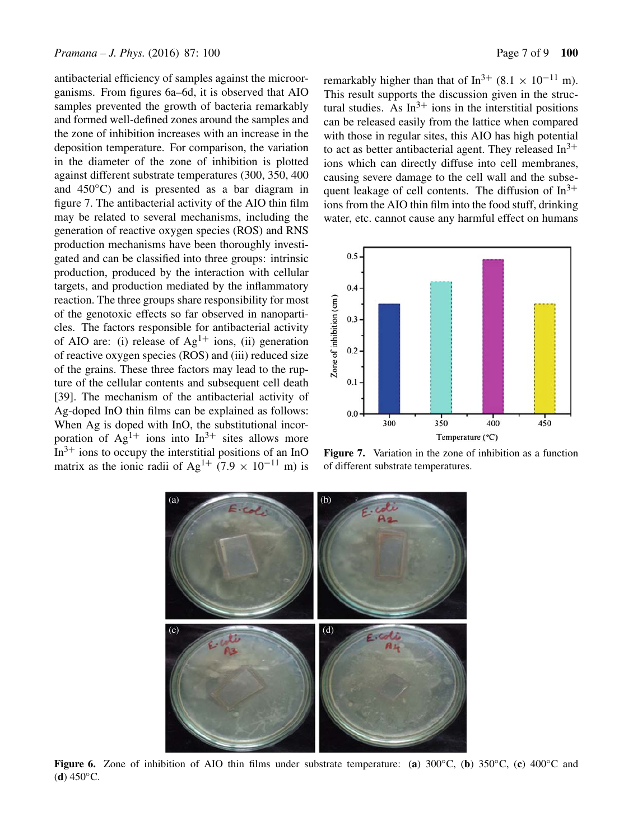antibacterial efficiency of samples against the microorganisms. From figures 6a–6d, it is observed that AIO samples prevented the growth of bacteria remarkably and formed well-defined zones around the samples and the zone of inhibition increases with an increase in the deposition temperature. For comparison, the variation in the diameter of the zone of inhibition is plotted against different substrate temperatures (300, 350, 400 and 450◦C) and is presented as a bar diagram in figure 7. The antibacterial activity of the AIO thin film may be related to several mechanisms, including the generation of reactive oxygen species (ROS) and RNS production mechanisms have been thoroughly investigated and can be classified into three groups: intrinsic production, produced by the interaction with cellular targets, and production mediated by the inflammatory reaction. The three groups share responsibility for most of the genotoxic effects so far observed in nanoparticles. The factors responsible for antibacterial activity of AIO are: (i) release of  $Ag<sup>1+</sup>$  ions, (ii) generation of reactive oxygen species (ROS) and (iii) reduced size of the grains. These three factors may lead to the rupture of the cellular contents and subsequent cell death [39]. The mechanism of the antibacterial activity of Ag-doped InO thin films can be explained as follows: When Ag is doped with InO, the substitutional incorporation of  $Ag<sup>1+</sup>$  ions into  $In<sup>3+</sup>$  sites allows more  $In<sup>3+</sup>$  ions to occupy the interstitial positions of an InO matrix as the ionic radii of Ag<sup>1+</sup> (7.9 × 10<sup>-11</sup> m) is remarkably higher than that of In<sup>3+</sup> (8.1 × 10<sup>-11</sup> m). This result supports the discussion given in the structural studies. As  $In^{3+}$  ions in the interstitial positions can be released easily from the lattice when compared with those in regular sites, this AIO has high potential to act as better antibacterial agent. They released  $In^{3+}$ ions which can directly diffuse into cell membranes, causing severe damage to the cell wall and the subsequent leakage of cell contents. The diffusion of  $In^{3+}$ ions from the AIO thin film into the food stuff, drinking water, etc. cannot cause any harmful effect on humans



**Figure 7.** Variation in the zone of inhibition as a function of different substrate temperatures.



**Figure 6.** Zone of inhibition of AIO thin films under substrate temperature: (**a**) 300◦C, (**b**) 350◦C, (**c**) 400◦C and  $(d)$  450 $°C$ .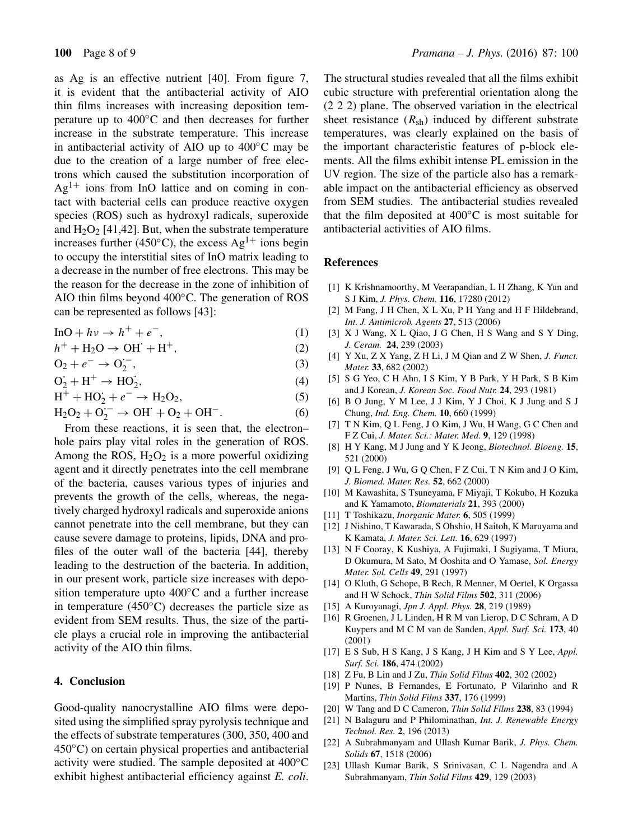as Ag is an effective nutrient [40]. From figure 7, it is evident that the antibacterial activity of AIO thin films increases with increasing deposition temperature up to 400◦C and then decreases for further increase in the substrate temperature. This increase in antibacterial activity of AIO up to 400◦C may be due to the creation of a large number of free electrons which caused the substitution incorporation of  $Ag<sup>1+</sup>$  ions from InO lattice and on coming in contact with bacterial cells can produce reactive oxygen species (ROS) such as hydroxyl radicals, superoxide and  $H_2O_2$  [41,42]. But, when the substrate temperature increases further (450 $^{\circ}$ C), the excess Ag<sup>1+</sup> ions begin to occupy the interstitial sites of InO matrix leading to a decrease in the number of free electrons. This may be the reason for the decrease in the zone of inhibition of AIO thin films beyond 400◦C. The generation of ROS can be represented as follows [43]:

$$
\text{InO} + h\nu \to h^+ + e^-, \tag{1}
$$

$$
h^+ + H_2O \rightarrow OH^+ + H^+, \tag{2}
$$

$$
O_2 + e^- \to O_2^-,
$$
  
\n
$$
O_2 : H^+ \to H_2^-,
$$
 (3)

$$
O_2^{\prime} + H^+ \to HO_2^{\prime}, \tag{4}
$$

$$
H^{+} + HO_{2}^{+} + e^{-} \to H_{2}O_{2}, \tag{5}
$$

$$
H_2O_2 + O_2^- \to OH^+ + O_2 + OH^-. \tag{6}
$$

From these reactions, it is seen that, the electron– hole pairs play vital roles in the generation of ROS. Among the ROS,  $H_2O_2$  is a more powerful oxidizing agent and it directly penetrates into the cell membrane of the bacteria, causes various types of injuries and prevents the growth of the cells, whereas, the negatively charged hydroxyl radicals and superoxide anions cannot penetrate into the cell membrane, but they can cause severe damage to proteins, lipids, DNA and profiles of the outer wall of the bacteria [44], thereby leading to the destruction of the bacteria. In addition, in our present work, particle size increases with deposition temperature upto  $400^{\circ}$ C and a further increase in temperature  $(450°C)$  decreases the particle size as evident from SEM results. Thus, the size of the particle plays a crucial role in improving the antibacterial activity of the AIO thin films.

#### **4. Conclusion**

Good-quality nanocrystalline AIO films were deposited using the simplified spray pyrolysis technique and the effects of substrate temperatures (300, 350, 400 and 450◦C) on certain physical properties and antibacterial activity were studied. The sample deposited at 400◦C exhibit highest antibacterial efficiency against *E. coli*. The structural studies revealed that all the films exhibit cubic structure with preferential orientation along the (2 2 2) plane. The observed variation in the electrical sheet resistance  $(R_{\rm sh})$  induced by different substrate temperatures, was clearly explained on the basis of the important characteristic features of p-block elements. All the films exhibit intense PL emission in the UV region. The size of the particle also has a remarkable impact on the antibacterial efficiency as observed from SEM studies. The antibacterial studies revealed that the film deposited at  $400\degree$ C is most suitable for antibacterial activities of AIO films.

#### **References**

- [1] K Krishnamoorthy, M Veerapandian, L H Zhang, K Yun and S J Kim, *J. Phys. Chem.* **116**, 17280 (2012)
- [2] M Fang, J H Chen, X L Xu, P H Yang and H F Hildebrand, *Int. J. Antimicrob. Agents* **27**, 513 (2006)
- [3] X J Wang, X L Qiao, J G Chen, H S Wang and S Y Ding, *J. Ceram.* **24**, 239 (2003)
- [4] Y Xu, Z X Yang, Z H Li, J M Qian and Z W Shen, *J. Funct. Mater.* **33**, 682 (2002)
- [5] S G Yeo, C H Ahn, I S Kim, Y B Park, Y H Park, S B Kim and J Korean, *J. Korean Soc. Food Nutr.* **24**, 293 (1981)
- [6] B O Jung, Y M Lee, J J Kim, Y J Choi, K J Jung and S J Chung, *Ind. Eng. Chem.* **10**, 660 (1999)
- [7] T N Kim, Q L Feng, J O Kim, J Wu, H Wang, G C Chen and F Z Cui, *J. Mater. Sci.: Mater. Med.* **9**, 129 (1998)
- [8] H Y Kang, M J Jung and Y K Jeong, *Biotechnol. Bioeng.* **15**, 521 (2000)
- [9] Q L Feng, J Wu, G Q Chen, F Z Cui, T N Kim and J O Kim, *J. Biomed. Mater. Res.* **52**, 662 (2000)
- [10] M Kawashita, S Tsuneyama, F Miyaji, T Kokubo, H Kozuka and K Yamamoto, *Biomaterials* **21**, 393 (2000)
- [11] T Toshikazu, *Inorganic Mater.* **6**, 505 (1999)
- [12] J Nishino, T Kawarada, S Ohshio, H Saitoh, K Maruyama and K Kamata, *J. Mater. Sci. Lett.* **16**, 629 (1997)
- [13] N F Cooray, K Kushiya, A Fujimaki, I Sugiyama, T Miura, D Okumura, M Sato, M Ooshita and O Yamase, *Sol. Energy Mater. Sol. Cells* **49**, 291 (1997)
- [14] O Kluth, G Schope, B Rech, R Menner, M Oertel, K Orgassa and H W Schock, *Thin Solid Films* **502**, 311 (2006)
- [15] A Kuroyanagi, *Jpn J. Appl. Phys.* **28**, 219 (1989)
- [16] R Groenen, J L Linden, H R M van Lierop, D C Schram, A D Kuypers and M C M van de Sanden, *Appl. Surf. Sci.* **173**, 40 (2001)
- [17] E S Sub, H S Kang, J S Kang, J H Kim and S Y Lee, *Appl. Surf. Sci.* **186**, 474 (2002)
- [18] Z Fu, B Lin and J Zu, *Thin Solid Films* **402**, 302 (2002)
- [19] P Nunes, B Fernandes, E Fortunato, P Vilarinho and R Martins, *Thin Solid Films* **337**, 176 (1999)
- [20] W Tang and D C Cameron, *Thin Solid Films* **238**, 83 (1994)
- [21] N Balaguru and P Philominathan, *Int. J. Renewable Energy Technol. Res.* **2**, 196 (2013)
- [22] A Subrahmanyam and Ullash Kumar Barik, *J. Phys. Chem. Solids* **67**, 1518 (2006)
- [23] Ullash Kumar Barik, S Srinivasan, C L Nagendra and A Subrahmanyam, *Thin Solid Films* **429**, 129 (2003)